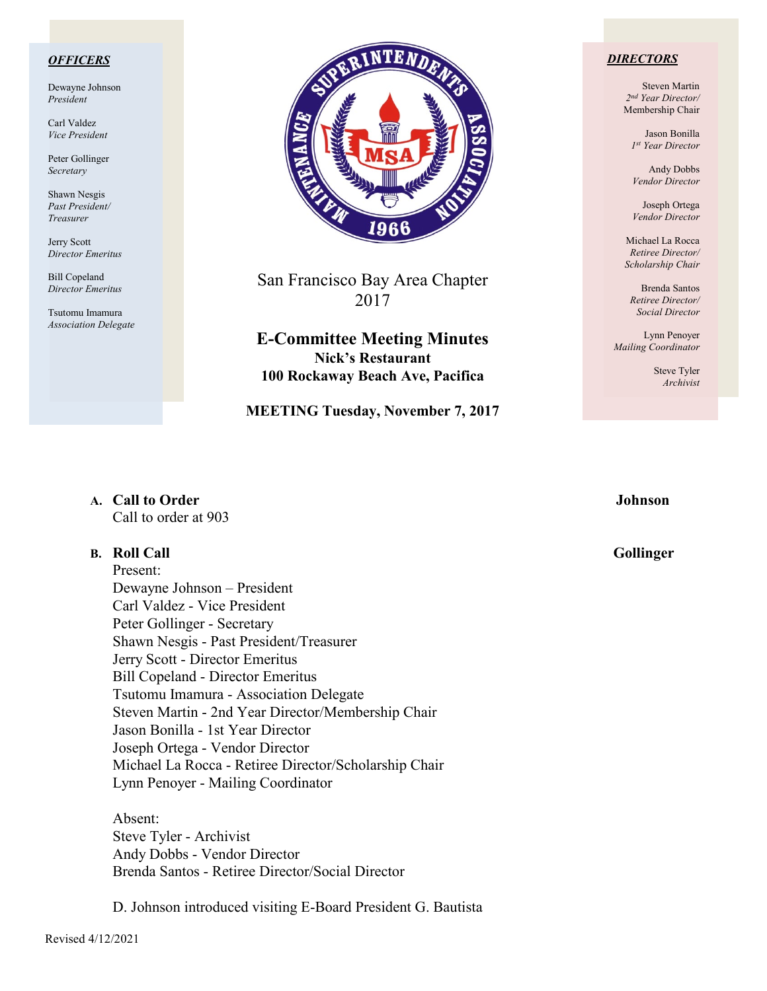### *OFFICERS*

Dewayne Johnson *President*

Carl Valdez *Vice President*

Peter Gollinger *Secretary*

Shawn Nesgis *Past President/ Treasurer*

Jerry Scott *Director Emeritus*

Bill Copeland *Director Emeritus*

Tsutomu Imamura *Association Delegate*



San Francisco Bay Area Chapter 2017

**E-Committee Meeting Minutes Nick's Restaurant 100 Rockaway Beach Ave, Pacifica**

**MEETING Tuesday, November 7, 2017**

### *DIRECTORS*

Steven Martin *2nd Year Director/*  Membership Chair

Jason Bonilla *1st Year Director*

Andy Dobbs *Vendor Director*

Joseph Ortega *Vendor Director*

Michael La Rocca *Retiree Director/ Scholarship Chair*

Brenda Santos *Retiree Director/ Social Director*

Lynn Penoyer *Mailing Coordinator*

> Steve Tyler *Archivist*

### **A. Call to Order Johnson** Call to order at 903

### **B.** Roll Call Gollinger

Present: Dewayne Johnson – President Carl Valdez - Vice President Peter Gollinger - Secretary Shawn Nesgis - Past President/Treasurer Jerry Scott - Director Emeritus Bill Copeland - Director Emeritus Tsutomu Imamura - Association Delegate Steven Martin - 2nd Year Director/Membership Chair Jason Bonilla - 1st Year Director Joseph Ortega - Vendor Director Michael La Rocca - Retiree Director/Scholarship Chair Lynn Penoyer - Mailing Coordinator

Absent: Steve Tyler - Archivist Andy Dobbs - Vendor Director Brenda Santos - Retiree Director/Social Director

D. Johnson introduced visiting E-Board President G. Bautista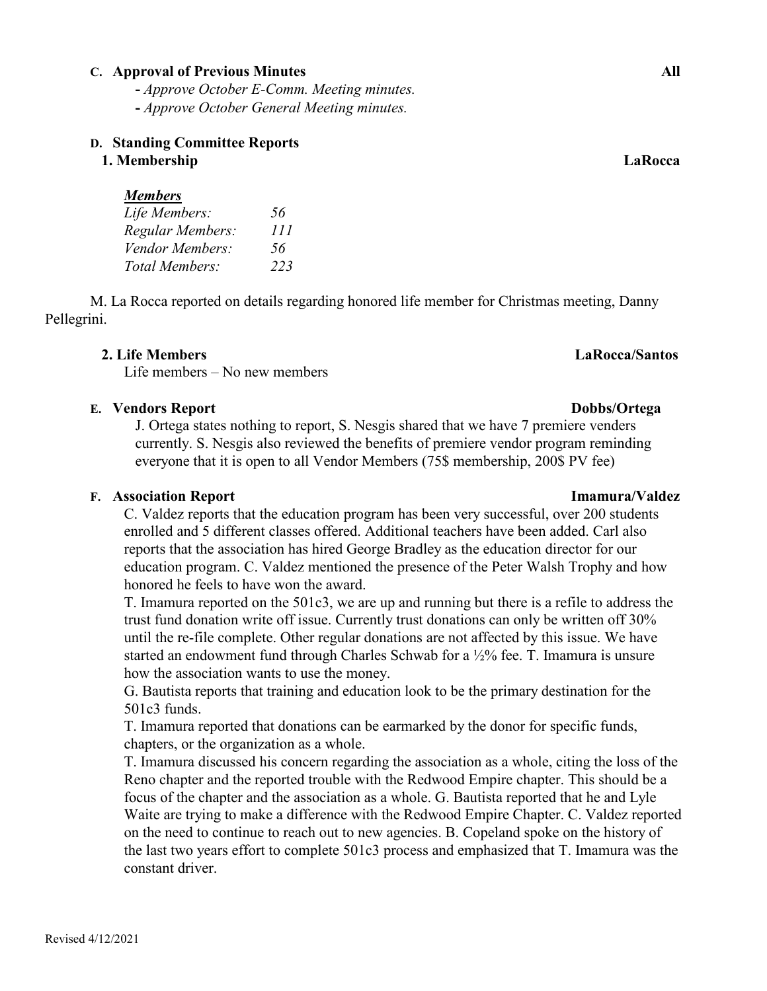## **C. Approval of Previous Minutes All**

**-** *Approve October E-Comm. Meeting minutes.*

 **-** *Approve October General Meeting minutes.*

# **D. Standing Committee Reports**

# **1. Membership LaRocca**

# *Members*

| Life Members:    | 56  |
|------------------|-----|
| Regular Members: | 111 |
| Vendor Members:  | 56  |
| Total Members:   | 223 |

M. La Rocca reported on details regarding honored life member for Christmas meeting, Danny Pellegrini.

# **2. Life Members LaRocca/Santos**

Life members – No new members

# **E. Vendors Report Dobbs/Ortega**

J. Ortega states nothing to report, S. Nesgis shared that we have 7 premiere venders currently. S. Nesgis also reviewed the benefits of premiere vendor program reminding everyone that it is open to all Vendor Members (75\$ membership, 200\$ PV fee)

# **F. Association Report Imamura/Valdez**

C. Valdez reports that the education program has been very successful, over 200 students enrolled and 5 different classes offered. Additional teachers have been added. Carl also reports that the association has hired George Bradley as the education director for our education program. C. Valdez mentioned the presence of the Peter Walsh Trophy and how honored he feels to have won the award.

T. Imamura reported on the 501c3, we are up and running but there is a refile to address the trust fund donation write off issue. Currently trust donations can only be written off 30% until the re-file complete. Other regular donations are not affected by this issue. We have started an endowment fund through Charles Schwab for a ½% fee. T. Imamura is unsure how the association wants to use the money.

G. Bautista reports that training and education look to be the primary destination for the 501c3 funds.

T. Imamura reported that donations can be earmarked by the donor for specific funds, chapters, or the organization as a whole.

T. Imamura discussed his concern regarding the association as a whole, citing the loss of the Reno chapter and the reported trouble with the Redwood Empire chapter. This should be a focus of the chapter and the association as a whole. G. Bautista reported that he and Lyle Waite are trying to make a difference with the Redwood Empire Chapter. C. Valdez reported on the need to continue to reach out to new agencies. B. Copeland spoke on the history of the last two years effort to complete 501c3 process and emphasized that T. Imamura was the constant driver.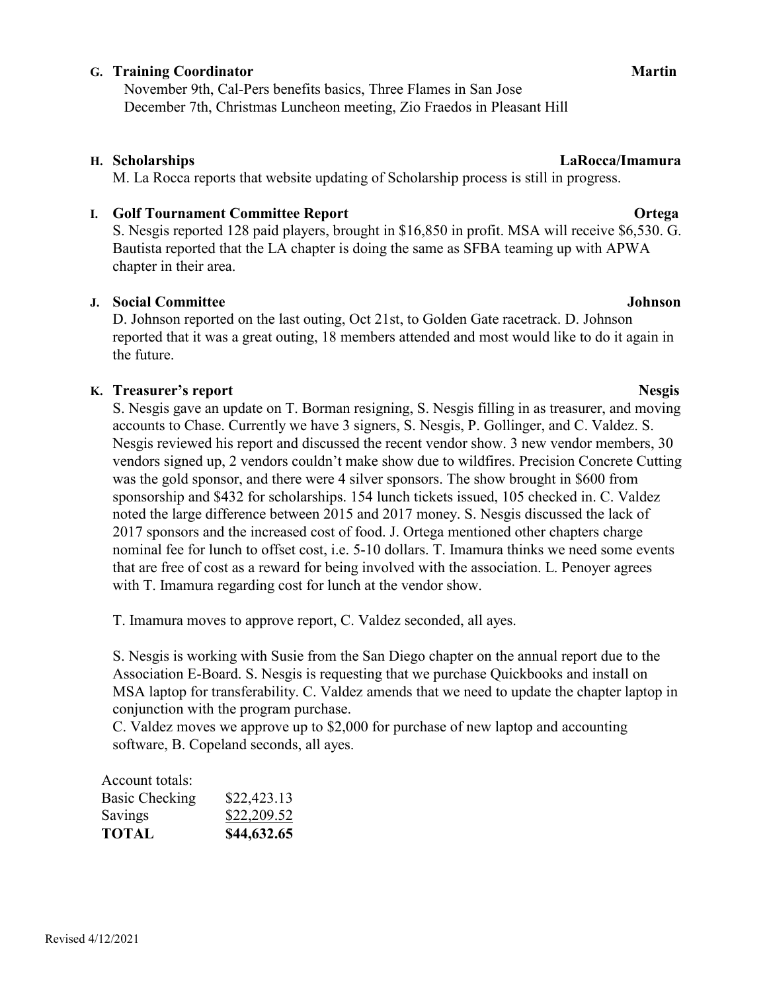# **G.** Training Coordinator **Martin** Martin **Martin**

November 9th, Cal-Pers benefits basics, Three Flames in San Jose December 7th, Christmas Luncheon meeting, Zio Fraedos in Pleasant Hill

## **H. Scholarships LaRocca/Imamura**

M. La Rocca reports that website updating of Scholarship process is still in progress.

# **I.** Golf Tournament Committee Report **Ortega**

S. Nesgis reported 128 paid players, brought in \$16,850 in profit. MSA will receive \$6,530. G. Bautista reported that the LA chapter is doing the same as SFBA teaming up with APWA chapter in their area.

## **J. Social Committee Johnson**

D. Johnson reported on the last outing, Oct 21st, to Golden Gate racetrack. D. Johnson reported that it was a great outing, 18 members attended and most would like to do it again in the future.

# **K. Treasurer's report** Nesgis

S. Nesgis gave an update on T. Borman resigning, S. Nesgis filling in as treasurer, and moving accounts to Chase. Currently we have 3 signers, S. Nesgis, P. Gollinger, and C. Valdez. S. Nesgis reviewed his report and discussed the recent vendor show. 3 new vendor members, 30 vendors signed up, 2 vendors couldn't make show due to wildfires. Precision Concrete Cutting was the gold sponsor, and there were 4 silver sponsors. The show brought in \$600 from sponsorship and \$432 for scholarships. 154 lunch tickets issued, 105 checked in. C. Valdez noted the large difference between 2015 and 2017 money. S. Nesgis discussed the lack of 2017 sponsors and the increased cost of food. J. Ortega mentioned other chapters charge nominal fee for lunch to offset cost, i.e. 5-10 dollars. T. Imamura thinks we need some events that are free of cost as a reward for being involved with the association. L. Penoyer agrees with T. Imamura regarding cost for lunch at the vendor show.

T. Imamura moves to approve report, C. Valdez seconded, all ayes.

S. Nesgis is working with Susie from the San Diego chapter on the annual report due to the Association E-Board. S. Nesgis is requesting that we purchase Quickbooks and install on MSA laptop for transferability. C. Valdez amends that we need to update the chapter laptop in conjunction with the program purchase.

C. Valdez moves we approve up to \$2,000 for purchase of new laptop and accounting software, B. Copeland seconds, all ayes.

| Account totals: |
|-----------------|
|-----------------|

| \$22,423.13 |
|-------------|
| \$22,209.52 |
| \$44,632.65 |
|             |